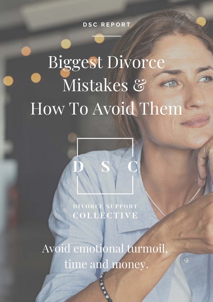**D S C R E P O R T**

# Biggest Divorce Mistakes & How To Avoid Them

DIVORCE SUPPORT COLLECTIVE

Avoid emotional turmoil, time and money.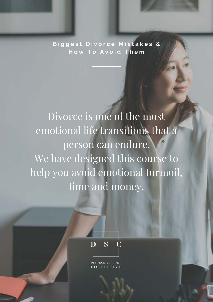**B i g g e s t D i v o r c e M i s t a k e s & H o w T o A v o i d T h e m**

Divorce is one of the most emotional life transitions that a person can endure. We have designed this course to help you avoid emotional turmoil, time and money.



**ORCE SHPPORT**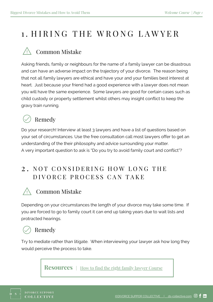## 1. HIRING THE WRONG LAWYER

## Common Mistake

Asking friends, family or neighbours for the name of a family lawyer can be disastrous and can have an adverse impact on the trajectory of your divorce. The reason being that not all family lawyers are ethical and have your and your families best interest at heart. Just because your friend had a good experience with a lawyer does not mean you will have the same experience. Some lawyers are good for certain cases such as child custody or property settlement whilst others may insight conflict to keep the gravy train running.

## Remedy

Do your research! Interview at least 3 lawyers and have a list of questions based on your set of circumstances. Use the free consultation call most lawyers offer to get an understanding of the their philosophy and advice surrounding your matter. A very important question to ask is "Do you try to avoid family court and conflict"?

#### 2. NOT CONSIDERING HOW LONG THE D I VORCE PROCESS CAN TAKE

## Common Mistake

Depending on your circumstances the length of your divorce may take some time. If you are forced to go to family court it can end up taking years due to wait lists and protracted hearings.

## Remedy

Try to mediate rather than litigate. When interviewing your lawyer ask how long they would perceive the process to take.

**Resources** | [How to find the right family lawyer Course](https://education.ds-collective.com/courses/finding-a-lawyer)

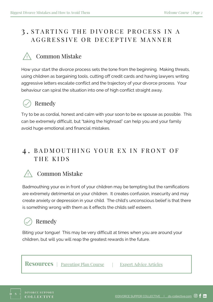#### 3. STARTING THE DIVORCE PROCESS IN A A G G R E S S I V E O R D E C E P T I V E M A N N E R

#### Common Mistake

How your start the divorce process sets the tone from the beginning. Making threats, using children as bargaining tools, cutting off credit cards and having lawyers writing aggressive letters escalate conflict and the trajectory of your divorce process. Your behaviour can spiral the situation into one of high conflict straight away.

## Remedy

Try to be as cordial, honest and calm with your soon to be ex spouse as possible. This can be extremely difficult, but "taking the highroad" can help you and your family avoid huge emotional and financial mistakes.

#### 4. BADMOUTHING YOUR EX IN FRONT OF THE KIDS



#### Common Mistake

Badmouthing your ex in front of your children may be tempting but the ramifications are extremely detrimental on your children. It creates confusion, insecurity and may create anxiety or depression in your child. The child's unconscious belief is that there is something wrong with them as it effects the childs self esteem.

## Remedy

Biting your tongue! This may be very difficult at times when you are around your children, but will you will reap the greatest rewards in the future.

**Resources** | [Parenting Plan Course](https://education.ds-collective.com/courses/parenting-plan) | [Expert Advice Articles](https://www.ds-collective.com/blog)

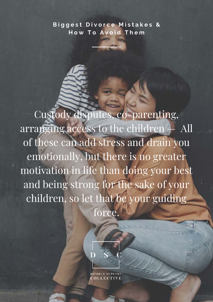#### **B i g g e s t D i v o r c e M i s t a k e s & H o w T o A v o i d T h e m**

Custody disputes, co-parenting, arranging access to the children — All of these can add stress and drain you emotionally, but there is no greater motivation in life than doing your best and being strong for the sake of your children, so let that be your guiding force.



**OLLECTIVE**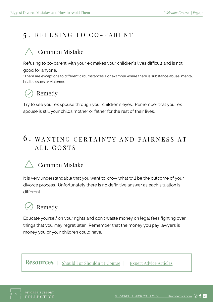#### 5. REFUSING TO CO-PARENT

#### Common Mistake

Refusing to co-parent with your ex makes your children's lives difficult and is not

good for anyone.

\*There are exceptions to different circumstances. For example where there is substance abuse, mental health issues or violence.

## Remedy

Try to see your ex spouse through your children's eyes. Remember that your ex spouse is still your childs mother or father for the rest of their lives.

## $6$ . WANTING CERTAINTY AND FAIRNESS AT ALL COSTS

## Common Mistake

It is very understandable that you want to know what will be the outcome of your divorce process. Unfortunately there is no definitive answer as each situation is different.

## Remedy

Educate yourself on your rights and don't waste money on legal fees fighting over things that you may regret later. Remember that the money you pay lawyers is money you or your children could have.

**Resources** | Should I or Shouldn't I Course | [Expert Advice Articles](https://www.ds-collective.com/blog)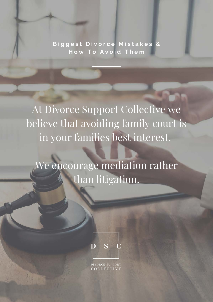**B i g g e s t D i v o r c e M i s t a k e s & How To Avoid Them** 

At Divorce Support Collective we believe that avoiding family court is in your families best interest.

We encourage mediation rather than litigation.



**DIVORCE SUPPORT DLLECTIVI**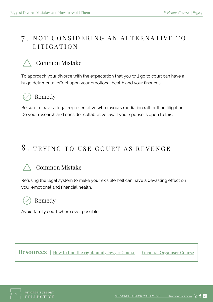#### 7. NOT CONSIDERING AN ALTERNATIVE TO L I T I G A T I O N

## Common Mistake

To approach your divorce with the expectation that you will go to court can have a huge detrimental effect upon your emotional health and your finances.

## Remedy

Be sure to have a legal representative who favours mediation rather than litigation. Do your research and consider collabrative law if your spouse is open to this.

## 8. TRYING TO USE COURT AS REVENGE

## Common Mistake

Refusing the legal system to make your ex's life hell can have a devasting effect on your emotional and financial health.

## Remedy

Avoid family court where ever possible.

**Resources** | [How to find the right family lawyer Course](https://education.ds-collective.com/courses/finding-a-lawyer) | [Finantial Organiser Course](https://education.ds-collective.com/courses/financial-organiser)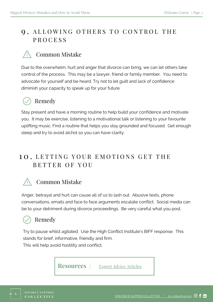#### 9. ALLOWING OTHERS TO CONTROL THE P R O C E S S

#### Common Mistake

Due to the overwhelm, hurt and anger that divorce can bring, we can let others take control of the process. This may be a lawyer, friend or family member. You need to advocate for yourself and be heard. Try not to let guilt and lack of confidence diminish your capacity to speak up for your future.



#### Remedy

Stay present and have a morning routine to help build your confidence and motivate you. It may be exercise, listening to a motivational talk or listening to your favourite uplifting music. Find a routine that helps you stay grounded and focused. Get enough sleep and try to avoid alchol so you can have clarity.

#### 10. LETTING YOUR EMOTIONS GET THE B E T T E R O F Y O U

#### Common Mistake

Anger, betrayal and hurt can cause all of us to lash out. Abusive texts, phone conversations, emails and face to face arguments escalate conflict. Social media can be to your detriment during divorce proceedings. Be very careful what you post.

#### Remedy

Try to pause whilst agitated. Use the High Conflict Institute's BIFF response. This stands for brief, informative, friendly and firm.

This will help avoid hostility and conflict.

**Resources** | [Expert Advice Articles](https://www.ds-collective.com/blog)

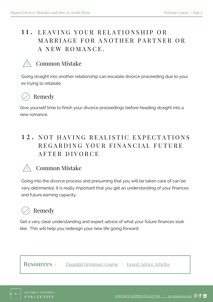#### 11. LEAVING YOUR RELATIONSHIP OR MARRIAGE FOR ANOTHER PARTNER OR A NEW ROMANCE.

#### Common Mistake

Going straight into another relationship can escalate divorce proceeding due to your ex trying to retaliate.

## Remedy

Give yourself time to finish your divorce proceedings before heading straight into a new romance.

### 12. NOT HAVING REALISTIC EXPECTATIONS REGARDING YOUR FINANCIAL FUTURE A F T E R D I V O R C E

#### Common Mistake

Going into the divorce process and presuming that you will be taken care of can be very detrimental. It is really important that you get an understanding of your finances and future earning capacity.

## Remedy

Get a very clear understanding and expert advice of what your future finances look like. This will help you redesign your new life going forward.

**Resources** |

[Finantial Organiser Course](https://education.ds-collective.com/courses/financial-organiser) | [Expert Advice Articles](https://www.ds-collective.com/blog)